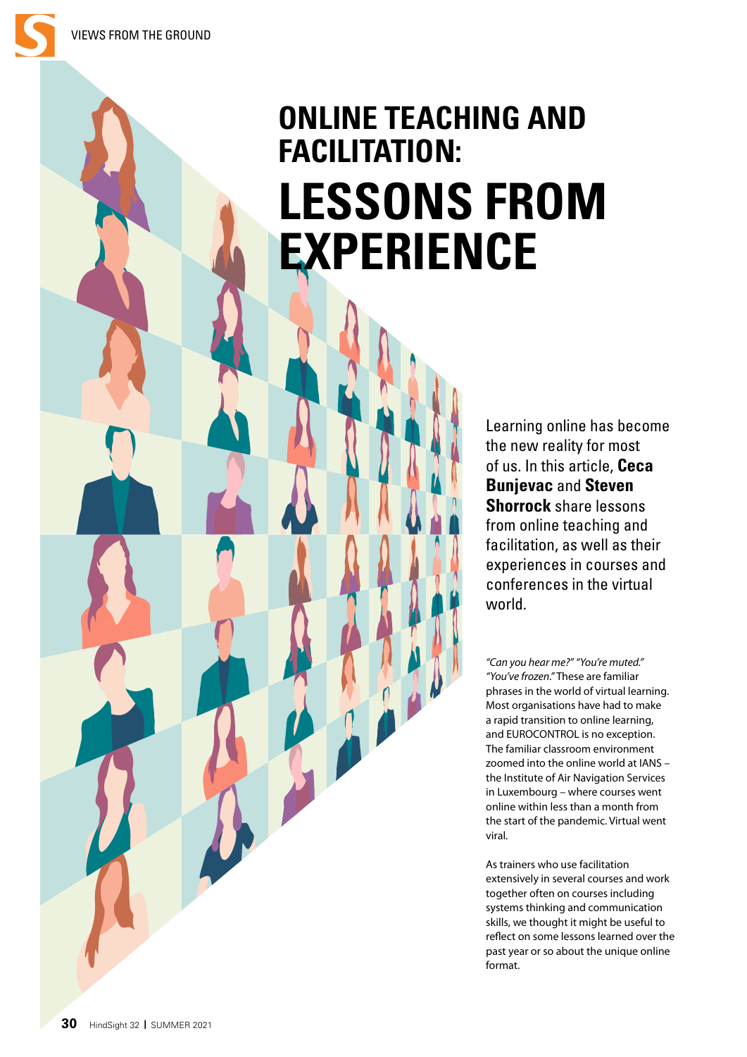# **ONLINE TEACHING AND FACILITATION: LESSONS FROM EXPERIENCE**

Learning online has become the new reality for most of us. In this article, **Ceca Bunjevac** and **Steven Shorrock** share lessons from online teaching and facilitation, as well as their experiences in courses and conferences in the virtual world.

*"Can you hear me?" "You're muted." "You've frozen."* These are familiar phrases in the world of virtual learning. Most organisations have had to make a rapid transition to online learning, and EUROCONTROL is no exception. The familiar classroom environment zoomed into the online world at IANS – the Institute of Air Navigation Services in Luxembourg – where courses went online within less than a month from the start of the pandemic. Virtual went viral.

As trainers who use facilitation extensively in several courses and work together often on courses including systems thinking and communication skills, we thought it might be useful to reflect on some lessons learned over the past year or so about the unique online format.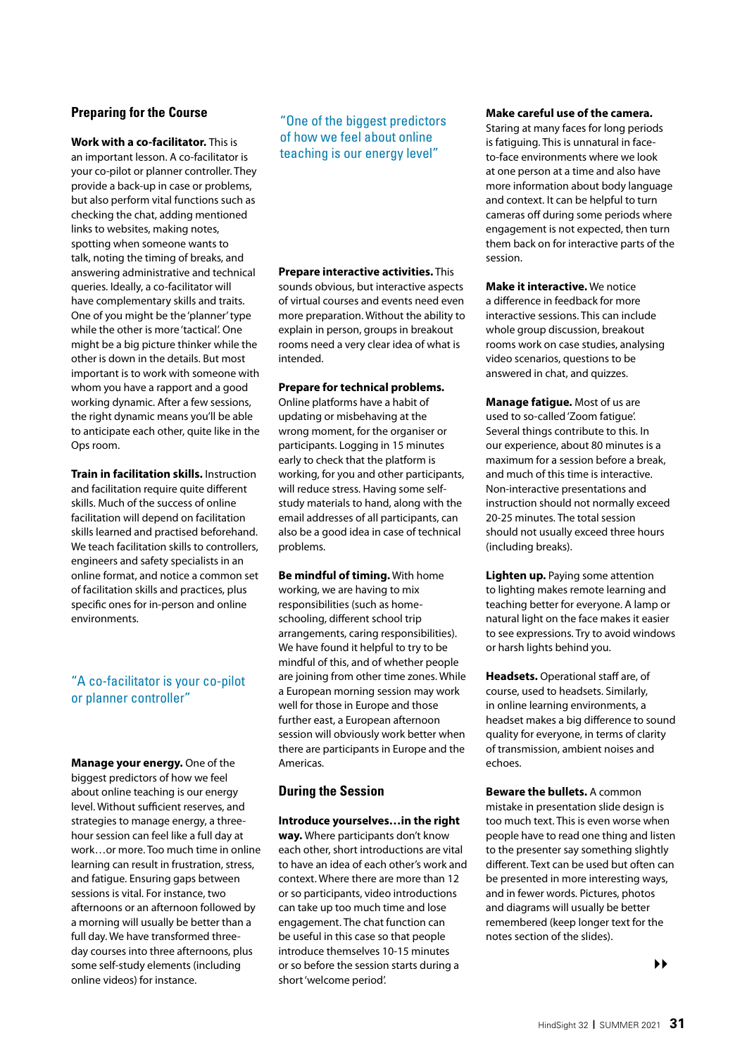## **Preparing for the Course**

**Work with a co-facilitator.** This is an important lesson. A co-facilitator is your co-pilot or planner controller. They provide a back-up in case or problems, but also perform vital functions such as checking the chat, adding mentioned links to websites, making notes, spotting when someone wants to talk, noting the timing of breaks, and answering administrative and technical queries. Ideally, a co-facilitator will have complementary skills and traits. One of you might be the 'planner' type while the other is more 'tactical'. One might be a big picture thinker while the other is down in the details. But most important is to work with someone with whom you have a rapport and a good working dynamic. After a few sessions, the right dynamic means you'll be able to anticipate each other, quite like in the Ops room.

**Train in facilitation skills.** Instruction and facilitation require quite different skills. Much of the success of online facilitation will depend on facilitation skills learned and practised beforehand. We teach facilitation skills to controllers. engineers and safety specialists in an online format, and notice a common set of facilitation skills and practices, plus specific ones for in-person and online environments.

## "A co-facilitator is your co-pilot or planner controller"

**Manage your energy.** One of the biggest predictors of how we feel about online teaching is our energy level. Without sufficient reserves, and strategies to manage energy, a threehour session can feel like a full day at work…or more. Too much time in online learning can result in frustration, stress, and fatigue. Ensuring gaps between sessions is vital. For instance, two afternoons or an afternoon followed by a morning will usually be better than a full day. We have transformed threeday courses into three afternoons, plus some self-study elements (including online videos) for instance.

"One of the biggest predictors of how we feel about online teaching is our energy level"

#### **Prepare interactive activities.** This sounds obvious, but interactive aspects of virtual courses and events need even more preparation. Without the ability to explain in person, groups in breakout rooms need a very clear idea of what is intended.

#### **Prepare for technical problems.**

Online platforms have a habit of updating or misbehaving at the wrong moment, for the organiser or participants. Logging in 15 minutes early to check that the platform is working, for you and other participants, will reduce stress. Having some selfstudy materials to hand, along with the email addresses of all participants, can also be a good idea in case of technical problems.

**Be mindful of timing.** With home working, we are having to mix responsibilities (such as homeschooling, different school trip arrangements, caring responsibilities). We have found it helpful to try to be mindful of this, and of whether people are joining from other time zones. While a European morning session may work well for those in Europe and those further east, a European afternoon session will obviously work better when there are participants in Europe and the Americas.

## **During the Session**

**Introduce yourselves…in the right way.** Where participants don't know each other, short introductions are vital to have an idea of each other's work and context. Where there are more than 12 or so participants, video introductions can take up too much time and lose engagement. The chat function can be useful in this case so that people introduce themselves 10-15 minutes or so before the session starts during a short 'welcome period'.

#### **Make careful use of the camera.**

Staring at many faces for long periods is fatiguing. This is unnatural in faceto-face environments where we look at one person at a time and also have more information about body language and context. It can be helpful to turn cameras off during some periods where engagement is not expected, then turn them back on for interactive parts of the session.

**Make it interactive.** We notice a difference in feedback for more interactive sessions. This can include whole group discussion, breakout rooms work on case studies, analysing video scenarios, questions to be answered in chat, and quizzes.

**Manage fatigue.** Most of us are used to so-called 'Zoom fatigue'. Several things contribute to this. In our experience, about 80 minutes is a maximum for a session before a break, and much of this time is interactive. Non-interactive presentations and instruction should not normally exceed 20-25 minutes. The total session should not usually exceed three hours (including breaks).

**Lighten up.** Paying some attention to lighting makes remote learning and teaching better for everyone. A lamp or natural light on the face makes it easier to see expressions. Try to avoid windows or harsh lights behind you.

**Headsets.** Operational staff are, of course, used to headsets. Similarly, in online learning environments, a headset makes a big difference to sound quality for everyone, in terms of clarity of transmission, ambient noises and echoes.

**Beware the bullets.** A common mistake in presentation slide design is too much text. This is even worse when people have to read one thing and listen to the presenter say something slightly different. Text can be used but often can be presented in more interesting ways, and in fewer words. Pictures, photos and diagrams will usually be better remembered (keep longer text for the notes section of the slides).

 $\blacktriangleright\blacktriangleright$